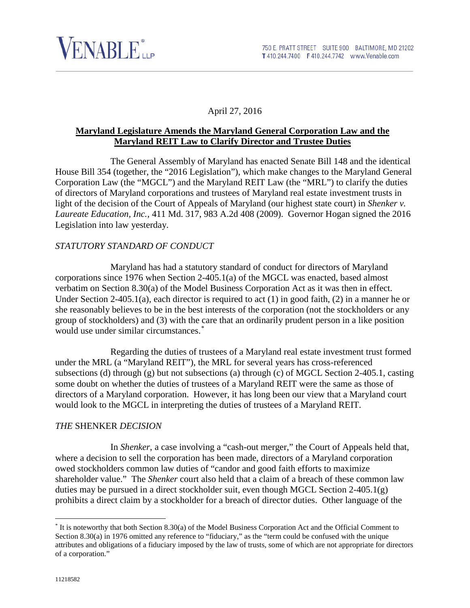

### April 27, 2016

#### **Maryland Legislature Amends the Maryland General Corporation Law and the Maryland REIT Law to Clarify Director and Trustee Duties**

The General Assembly of Maryland has enacted Senate Bill 148 and the identical House Bill 354 (together, the "2016 Legislation"), which make changes to the Maryland General Corporation Law (the "MGCL") and the Maryland REIT Law (the "MRL") to clarify the duties of directors of Maryland corporations and trustees of Maryland real estate investment trusts in light of the decision of the Court of Appeals of Maryland (our highest state court) in *Shenker v. Laureate Education, Inc.*, 411 Md. 317, 983 A.2d 408 (2009). Governor Hogan signed the 2016 Legislation into law yesterday.

#### *STATUTORY STANDARD OF CONDUCT*

Maryland has had a statutory standard of conduct for directors of Maryland corporations since 1976 when Section 2-405.1(a) of the MGCL was enacted, based almost verbatim on Section 8.30(a) of the Model Business Corporation Act as it was then in effect. Under Section 2-405.1(a), each director is required to act (1) in good faith, (2) in a manner he or she reasonably believes to be in the best interests of the corporation (not the stockholders or any group of stockholders) and (3) with the care that an ordinarily prudent person in a like position would use under similar circumstances.[\\*](#page-0-0)

Regarding the duties of trustees of a Maryland real estate investment trust formed under the MRL (a "Maryland REIT"), the MRL for several years has cross-referenced subsections (d) through (g) but not subsections (a) through (c) of MGCL Section 2-405.1, casting some doubt on whether the duties of trustees of a Maryland REIT were the same as those of directors of a Maryland corporation. However, it has long been our view that a Maryland court would look to the MGCL in interpreting the duties of trustees of a Maryland REIT.

#### *THE* SHENKER *DECISION*

In *Shenker*, a case involving a "cash-out merger," the Court of Appeals held that, where a decision to sell the corporation has been made, directors of a Maryland corporation owed stockholders common law duties of "candor and good faith efforts to maximize shareholder value." The *Shenker* court also held that a claim of a breach of these common law duties may be pursued in a direct stockholder suit, even though MGCL Section 2-405.1(g) prohibits a direct claim by a stockholder for a breach of director duties. Other language of the

<span id="page-0-0"></span> <sup>\*</sup> It is noteworthy that both Section 8.30(a) of the Model Business Corporation Act and the Official Comment to Section 8.30(a) in 1976 omitted any reference to "fiduciary," as the "term could be confused with the unique attributes and obligations of a fiduciary imposed by the law of trusts, some of which are not appropriate for directors of a corporation."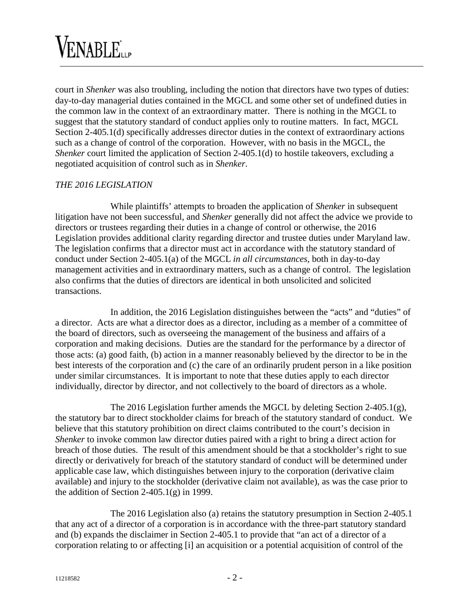# VENABLE...

court in *Shenker* was also troubling, including the notion that directors have two types of duties: day-to-day managerial duties contained in the MGCL and some other set of undefined duties in the common law in the context of an extraordinary matter. There is nothing in the MGCL to suggest that the statutory standard of conduct applies only to routine matters. In fact, MGCL Section 2-405.1(d) specifically addresses director duties in the context of extraordinary actions such as a change of control of the corporation. However, with no basis in the MGCL, the *Shenker* court limited the application of Section 2-405.1(d) to hostile takeovers, excluding a negotiated acquisition of control such as in *Shenker*.

## *THE 2016 LEGISLATION*

While plaintiffs' attempts to broaden the application of *Shenker* in subsequent litigation have not been successful, and *Shenker* generally did not affect the advice we provide to directors or trustees regarding their duties in a change of control or otherwise, the 2016 Legislation provides additional clarity regarding director and trustee duties under Maryland law. The legislation confirms that a director must act in accordance with the statutory standard of conduct under Section 2-405.1(a) of the MGCL *in all circumstances*, both in day-to-day management activities and in extraordinary matters, such as a change of control. The legislation also confirms that the duties of directors are identical in both unsolicited and solicited transactions.

In addition, the 2016 Legislation distinguishes between the "acts" and "duties" of a director. Acts are what a director does as a director, including as a member of a committee of the board of directors, such as overseeing the management of the business and affairs of a corporation and making decisions. Duties are the standard for the performance by a director of those acts: (a) good faith, (b) action in a manner reasonably believed by the director to be in the best interests of the corporation and (c) the care of an ordinarily prudent person in a like position under similar circumstances. It is important to note that these duties apply to each director individually, director by director, and not collectively to the board of directors as a whole.

The 2016 Legislation further amends the MGCL by deleting Section 2-405.1(g), the statutory bar to direct stockholder claims for breach of the statutory standard of conduct. We believe that this statutory prohibition on direct claims contributed to the court's decision in *Shenker* to invoke common law director duties paired with a right to bring a direct action for breach of those duties. The result of this amendment should be that a stockholder's right to sue directly or derivatively for breach of the statutory standard of conduct will be determined under applicable case law, which distinguishes between injury to the corporation (derivative claim available) and injury to the stockholder (derivative claim not available), as was the case prior to the addition of Section  $2-405.1(g)$  in 1999.

The 2016 Legislation also (a) retains the statutory presumption in Section 2-405.1 that any act of a director of a corporation is in accordance with the three-part statutory standard and (b) expands the disclaimer in Section 2-405.1 to provide that "an act of a director of a corporation relating to or affecting [i] an acquisition or a potential acquisition of control of the